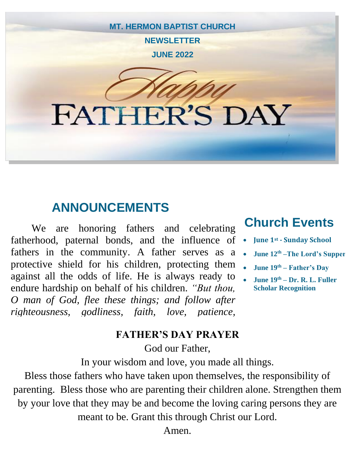

## **ANNOUNCEMENTS**

We are honoring fathers and celebrating fatherhood, paternal bonds, and the influence of fathers in the community. A father serves as a protective shield for his children, protecting them against all the odds of life. He is always ready to endure hardship on behalf of his children. *"But thou, O man of God, flee these things; and follow after righteousness, godliness, faith, love, patience,* 

### **Church Events**

- **June 1st - Sunday School**
- **June 12 th –The Lord's Supper**
- **June 19th – Father's Day**
	- **June 19th – Dr. R. L. Fuller Scholar Recognition**

#### **FATHER'S DAY PRAYER**

God our Father,

In your wisdom and love, you made all things.

Bless those fathers who have taken upon themselves, the responsibility of parenting. Bless those who are parenting their children alone. Strengthen them by your love that they may be and become the loving caring persons they are meant to be. Grant this through Christ our Lord.

Amen.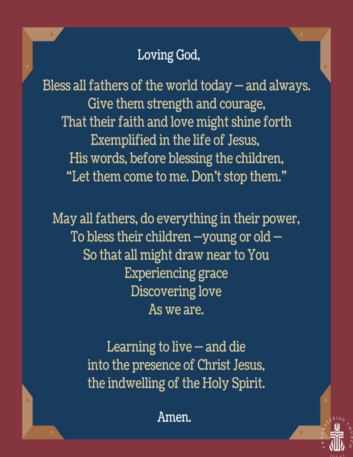## Loving God,

Bless all fathers of the world today – and always. Give them strength and courage, That their faith and love might shine forth Exemplified in the life of Jesus, His words, before blessing the children, "Let them come to me. Don't stop them."

May all fathers, do everything in their power, To bless their children  $-$ young or old  $-$ So that all might draw near to You **Experiencing grace Discovering love** As we are.

> Learning to live  $-$  and die into the presence of Christ Jesus, the indwelling of the Holy Spirit.

> > Amen.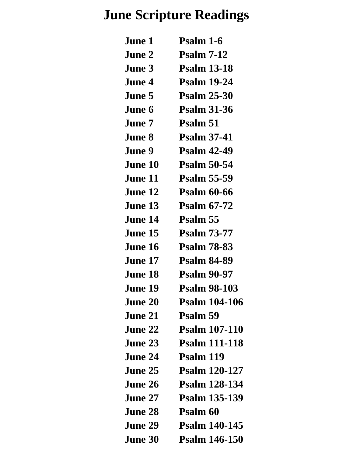# **June Scripture Readings**

| <b>June 1</b>  | Psalm 1-6            |
|----------------|----------------------|
| June 2         | <b>Psalm 7-12</b>    |
| <b>June 3</b>  | <b>Psalm 13-18</b>   |
| June 4         | <b>Psalm 19-24</b>   |
| <b>June 5</b>  | <b>Psalm 25-30</b>   |
| June 6         | <b>Psalm 31-36</b>   |
| <b>June 7</b>  | Psalm 51             |
| <b>June 8</b>  | <b>Psalm 37-41</b>   |
| <b>June 9</b>  | <b>Psalm 42-49</b>   |
| June 10        | <b>Psalm 50-54</b>   |
| <b>June 11</b> | <b>Psalm 55-59</b>   |
| June 12        | <b>Psalm 60-66</b>   |
| June 13        | <b>Psalm 67-72</b>   |
| June 14        | Psalm 55             |
| <b>June 15</b> | <b>Psalm 73-77</b>   |
| <b>June 16</b> | <b>Psalm 78-83</b>   |
| <b>June 17</b> | <b>Psalm 84-89</b>   |
| June 18        | <b>Psalm 90-97</b>   |
| <b>June 19</b> | <b>Psalm 98-103</b>  |
| <b>June 20</b> | <b>Psalm 104-106</b> |
| <b>June 21</b> | Psalm 59             |
| June 22        | <b>Psalm 107-110</b> |
| June 23        | <b>Psalm 111-118</b> |
| <b>June 24</b> | Psalm 119            |
| June 25        | <b>Psalm 120-127</b> |
| <b>June 26</b> | <b>Psalm 128-134</b> |
| June 27        | <b>Psalm 135-139</b> |
| <b>June 28</b> | Psalm 60             |
| <b>June 29</b> | <b>Psalm 140-145</b> |
| <b>June 30</b> | <b>Psalm 146-150</b> |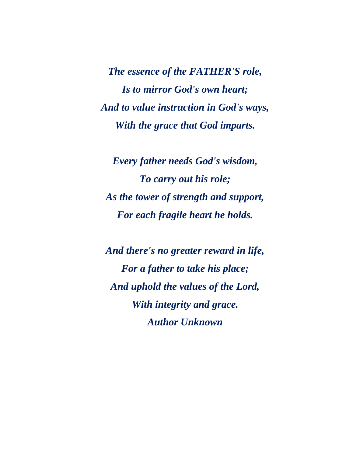*The essence of the FATHER'S role, Is to mirror God's own heart; And to value instruction in God's ways, With the grace that God imparts.*

*Every father needs God's wisdom, To carry out his role; As the tower of strength and support, For each fragile heart he holds.*

*And there's no greater reward in life, For a father to take his place; And uphold the values of the Lord, With integrity and grace. Author Unknown*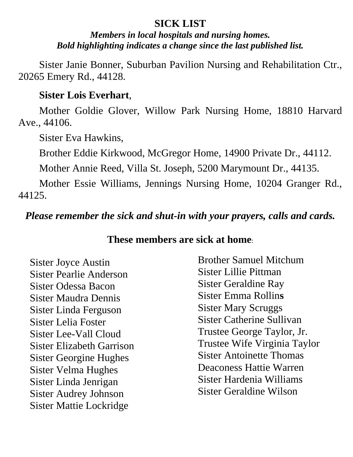#### **SICK LIST**

*Members in local hospitals and nursing homes. Bold highlighting indicates a change since the last published list.*

Sister Janie Bonner, Suburban Pavilion Nursing and Rehabilitation Ctr., 20265 Emery Rd., 44128.

#### **Sister Lois Everhart**,

Mother Goldie Glover, Willow Park Nursing Home, 18810 Harvard Ave., 44106.

Sister Eva Hawkins,

Brother Eddie Kirkwood, McGregor Home, 14900 Private Dr., 44112.

Mother Annie Reed, Villa St. Joseph, 5200 Marymount Dr., 44135.

Mother Essie Williams, Jennings Nursing Home, 10204 Granger Rd., 44125.

*Please remember the sick and shut-in with your prayers, calls and cards.*

#### **These members are sick at home**:

Sister Joyce Austin Sister Pearlie Anderson Sister Odessa Bacon Sister Maudra Dennis Sister Linda Ferguson Sister Lelia Foster Sister Lee-Vall Cloud Sister Elizabeth Garrison Sister Georgine Hughes Sister Velma Hughes Sister Linda Jenrigan Sister Audrey Johnson Sister Mattie Lockridge

Brother Samuel Mitchum Sister Lillie Pittman Sister Geraldine Ray Sister Emma Rollin**s** Sister Mary Scruggs Sister Catherine Sullivan Trustee George Taylor, Jr. Trustee Wife Virginia Taylor Sister Antoinette Thomas Deaconess Hattie Warren Sister Hardenia Williams Sister Geraldine Wilson